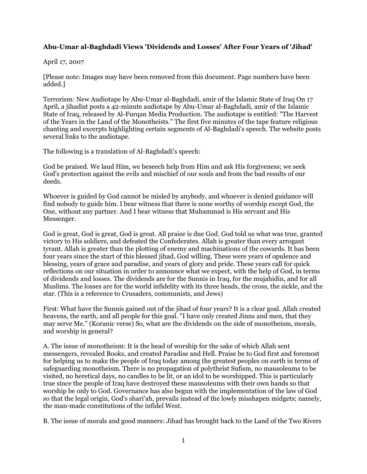## **Abu-Umar al-Baghdadi Views 'Dividends and Losses' After Four Years of 'Jihad'**

## April 17, 2007

[Please note: Images may have been removed from this document. Page numbers have been added.]

Terrorism: New Audiotape by Abu-Umar al-Baghdadi, amir of the Islamic State of Iraq On 17 April, a jihadist posts a 42-minute audiotape by Abu-Umar al-Baghdadi, amir of the Islamic State of Iraq, released by Al-Furqan Media Production. The audiotape is entitled: "The Harvest of the Years in the Land of the Monotheists." The first five minutes of the tape feature religious chanting and excerpts highlighting certain segments of Al-Baghdadi's speech. The website posts several links to the audiotape.

The following is a translation of Al-Baghdadi's speech:

God be praised. We laud Him, we beseech help from Him and ask His forgiveness; we seek God's protection against the evils and mischief of our souls and from the bad results of our deeds.

Whoever is guided by God cannot be misled by anybody, and whoever is denied guidance will find nobody to guide him. I bear witness that there is none worthy of worship except God, the One, without any partner. And I bear witness that Muhammad is His servant and His Messenger.

God is great, God is great, God is great. All praise is due God. God told us what was true, granted victory to His soldiers, and defeated the Confederates. Allah is greater than every arrogant tyrant. Allah is greater than the plotting of enemy and machinations of the cowards. It has been four years since the start of this blessed jihad, God willing. These were years of opulence and blessing, years of grace and paradise, and years of glory and pride. These years call for quick reflections on our situation in order to announce what we expect, with the help of God, in terms of dividends and losses. The dividends are for the Sunnis in Iraq, for the mujahidin, and for all Muslims. The losses are for the world infidelity with its three heads, the cross, the sickle, and the star. (This is a reference to Crusaders, communists, and Jews)

First: What have the Sunnis gained out of the jihad of four years? It is a clear goal. Allah created heavens, the earth, and all people for this goal. "I have only created Jinns and men, that they may serve Me." (Koranic verse) So, what are the dividends on the side of monotheism, morals, and worship in general?

A. The issue of monotheism: It is the head of worship for the sake of which Allah sent messengers, revealed Books, and created Paradise and Hell. Praise be to God first and foremost for helping us to make the people of Iraq today among the greatest peoples on earth in terms of safeguarding monotheism. There is no propagation of polytheist Sufism, no mausoleums to be visited, no heretical days, no candles to be lit, or an idol to be worshipped. This is particularly true since the people of Iraq have destroyed these mausoleums with their own hands so that worship be only to God. Governance has also begun with the implementation of the law of God so that the legal origin, God's shari'ah, prevails instead of the lowly misshapen midgets; namely, the man-made constitutions of the infidel West.

B. The issue of morals and good manners: Jihad has brought back to the Land of the Two Rivers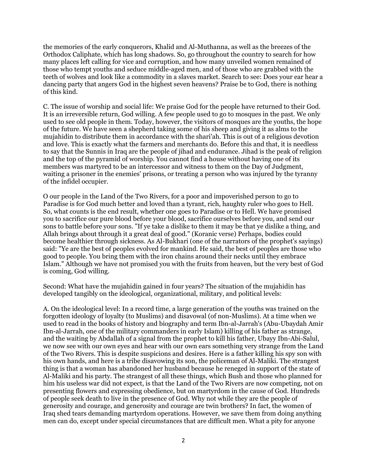the memories of the early conquerors, Khalid and Al-Muthanna, as well as the breezes of the Orthodox Caliphate, which has long shadows. So, go throughout the country to search for how many places left calling for vice and corruption, and how many unveiled women remained of those who tempt youths and seduce middle-aged men, and of those who are grabbed with the teeth of wolves and look like a commodity in a slaves market. Search to see: Does your ear hear a dancing party that angers God in the highest seven heavens? Praise be to God, there is nothing of this kind.

C. The issue of worship and social life: We praise God for the people have returned to their God. It is an irreversible return, God willing. A few people used to go to mosques in the past. We only used to see old people in them. Today, however, the visitors of mosques are the youths, the hope of the future. We have seen a shepherd taking some of his sheep and giving it as alms to the mujahidin to distribute them in accordance with the shari'ah. This is out of a religious devotion and love. This is exactly what the farmers and merchants do. Before this and that, it is needless to say that the Sunnis in Iraq are the people of jihad and endurance. Jihad is the peak of religion and the top of the pyramid of worship. You cannot find a house without having one of its members was martyred to be an intercessor and witness to them on the Day of Judgment, waiting a prisoner in the enemies' prisons, or treating a person who was injured by the tyranny of the infidel occupier.

O our people in the Land of the Two Rivers, for a poor and impoverished person to go to Paradise is for God much better and loved than a tyrant, rich, haughty ruler who goes to Hell. So, what counts is the end result, whether one goes to Paradise or to Hell. We have promised you to sacrifice our pure blood before your blood, sacrifice ourselves before you, and send our sons to battle before your sons. "If ye take a dislike to them it may be that ye dislike a thing, and Allah brings about through it a great deal of good." (Koranic verse) Perhaps, bodies could become healthier through sickness. As Al-Bukhari (one of the narrators of the prophet's sayings) said: "Ye are the best of peoples evolved for mankind. He said, the best of peoples are those who good to people. You bring them with the iron chains around their necks until they embrace Islam." Although we have not promised you with the fruits from heaven, but the very best of God is coming, God willing.

Second: What have the mujahidin gained in four years? The situation of the mujahidin has developed tangibly on the ideological, organizational, military, and political levels:

A. On the ideological level: In a record time, a large generation of the youths was trained on the forgotten ideology of loyalty (to Muslims) and disavowal (of non-Muslims). At a time when we used to read in the books of history and biography and term Ibn-al-Jarrah's (Abu-Ubaydah Amir Ibn-al-Jarrah, one of the military commanders in early Islam) killing of his father as strange, and the waiting by Abdallah of a signal from the prophet to kill his father, Ubayy Ibn-Abi-Salul, we now see with our own eyes and hear with our own ears something very strange from the Land of the Two Rivers. This is despite suspicions and desires. Here is a father killing his spy son with his own hands, and here is a tribe disavowing its son, the policeman of Al-Maliki. The strangest thing is that a woman has abandoned her husband because he reneged in support of the state of Al-Maliki and his party. The strangest of all these things, which Bush and those who planned for him his useless war did not expect, is that the Land of the Two Rivers are now competing, not on presenting flowers and expressing obedience, but on martyrdom in the cause of God. Hundreds of people seek death to live in the presence of God. Why not while they are the people of generosity and courage, and generosity and courage are twin brothers? In fact, the women of Iraq shed tears demanding martyrdom operations. However, we save them from doing anything men can do, except under special circumstances that are difficult men. What a pity for anyone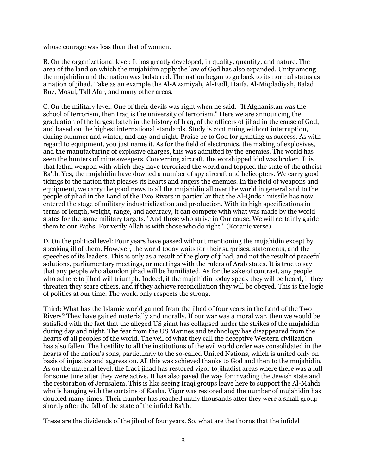whose courage was less than that of women.

B. On the organizational level: It has greatly developed, in quality, quantity, and nature. The area of the land on which the mujahidin apply the law of God has also expanded. Unity among the mujahidin and the nation was bolstered. The nation began to go back to its normal status as a nation of jihad. Take as an example the Al-A'zamiyah, Al-Fadl, Haifa, Al-Miqdadiyah, Balad Ruz, Mosul, Tall Afar, and many other areas.

C. On the military level: One of their devils was right when he said: "If Afghanistan was the school of terrorism, then Iraq is the university of terrorism." Here we are announcing the graduation of the largest batch in the history of Iraq, of the officers of jihad in the cause of God, and based on the highest international standards. Study is continuing without interruption, during summer and winter, and day and night. Praise be to God for granting us success. As with regard to equipment, you just name it. As for the field of electronics, the making of explosives, and the manufacturing of explosive charges, this was admitted by the enemies. The world has seen the hunters of mine sweepers. Concerning aircraft, the worshipped idol was broken. It is that lethal weapon with which they have terrorized the world and toppled the state of the atheist Ba'th. Yes, the mujahidin have downed a number of spy aircraft and helicopters. We carry good tidings to the nation that pleases its hearts and angers the enemies. In the field of weapons and equipment, we carry the good news to all the mujahidin all over the world in general and to the people of jihad in the Land of the Two Rivers in particular that the Al-Quds 1 missile has now entered the stage of military industrialization and production. With its high specifications in terms of length, weight, range, and accuracy, it can compete with what was made by the world states for the same military targets. "And those who strive in Our cause, We will certainly guide them to our Paths: For verily Allah is with those who do right." (Koranic verse)

D. On the political level: Four years have passed without mentioning the mujahidin except by speaking ill of them. However, the world today waits for their surprises, statements, and the speeches of its leaders. This is only as a result of the glory of jihad, and not the result of peaceful solutions, parliamentary meetings, or meetings with the rulers of Arab states. It is true to say that any people who abandon jihad will be humiliated. As for the sake of contrast, any people who adhere to jihad will triumph. Indeed, if the mujahidin today speak they will be heard, if they threaten they scare others, and if they achieve reconciliation they will be obeyed. This is the logic of politics at our time. The world only respects the strong.

Third: What has the Islamic world gained from the jihad of four years in the Land of the Two Rivers? They have gained materially and morally. If our war was a moral war, then we would be satisfied with the fact that the alleged US giant has collapsed under the strikes of the mujahidin during day and night. The fear from the US Marines and technology has disappeared from the hearts of all peoples of the world. The veil of what they call the deceptive Western civilization has also fallen. The hostility to all the institutions of the evil world order was consolidated in the hearts of the nation's sons, particularly to the so-called United Nations, which is united only on basis of injustice and aggression. All this was achieved thanks to God and then to the mujahidin. As on the material level, the Iraqi jihad has restored vigor to jihadist areas where there was a lull for some time after they were active. It has also paved the way for invading the Jewish state and the restoration of Jerusalem. This is like seeing Iraqi groups leave here to support the Al-Mahdi who is hanging with the curtains of Kaaba. Vigor was restored and the number of mujahidin has doubled many times. Their number has reached many thousands after they were a small group shortly after the fall of the state of the infidel Ba'th.

These are the dividends of the jihad of four years. So, what are the thorns that the infidel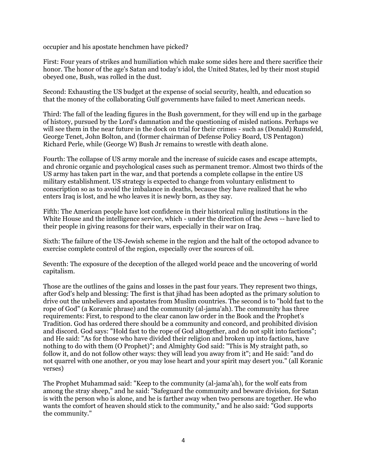occupier and his apostate henchmen have picked?

First: Four years of strikes and humiliation which make some sides here and there sacrifice their honor. The honor of the age's Satan and today's idol, the United States, led by their most stupid obeyed one, Bush, was rolled in the dust.

Second: Exhausting the US budget at the expense of social security, health, and education so that the money of the collaborating Gulf governments have failed to meet American needs.

Third: The fall of the leading figures in the Bush government, for they will end up in the garbage of history, pursued by the Lord's damnation and the questioning of misled nations. Perhaps we will see them in the near future in the dock on trial for their crimes - such as (Donald) Rumsfeld, George Tenet, John Bolton, and (former chairman of Defense Policy Board, US Pentagon) Richard Perle, while (George W) Bush Jr remains to wrestle with death alone.

Fourth: The collapse of US army morale and the increase of suicide cases and escape attempts, and chronic organic and psychological cases such as permanent tremor. Almost two thirds of the US army has taken part in the war, and that portends a complete collapse in the entire US military establishment. US strategy is expected to change from voluntary enlistment to conscription so as to avoid the imbalance in deaths, because they have realized that he who enters Iraq is lost, and he who leaves it is newly born, as they say.

Fifth: The American people have lost confidence in their historical ruling institutions in the White House and the intelligence service, which - under the direction of the Jews -- have lied to their people in giving reasons for their wars, especially in their war on Iraq.

Sixth: The failure of the US-Jewish scheme in the region and the halt of the octopod advance to exercise complete control of the region, especially over the sources of oil.

Seventh: The exposure of the deception of the alleged world peace and the uncovering of world capitalism.

Those are the outlines of the gains and losses in the past four years. They represent two things, after God's help and blessing: The first is that jihad has been adopted as the primary solution to drive out the unbelievers and apostates from Muslim countries. The second is to "hold fast to the rope of God" (a Koranic phrase) and the community (al-jama'ah). The community has three requirements: First, to respond to the clear canon law order in the Book and the Prophet's Tradition. God has ordered there should be a community and concord, and prohibited division and discord. God says: "Hold fast to the rope of God altogether, and do not split into factions"; and He said: "As for those who have divided their religion and broken up into factions, have nothing to do with them (O Prophet)"; and Almighty God said: "This is My straight path, so follow it, and do not follow other ways: they will lead you away from it"; and He said: "and do not quarrel with one another, or you may lose heart and your spirit may desert you." (all Koranic verses)

The Prophet Muhammad said: "Keep to the community (al-jama'ah), for the wolf eats from among the stray sheep," and he said: "Safeguard the community and beware division, for Satan is with the person who is alone, and he is farther away when two persons are together. He who wants the comfort of heaven should stick to the community," and he also said: "God supports the community."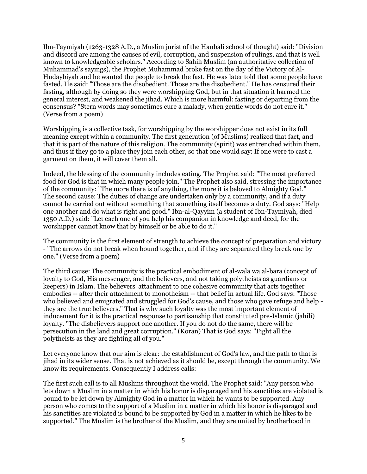Ibn-Taymiyah (1263-1328 A.D., a Muslim jurist of the Hanbali school of thought) said: "Division and discord are among the causes of evil, corruption, and suspension of rulings, and that is well known to knowledgeable scholars." According to Sahih Muslim (an authoritative collection of Muhammad's sayings), the Prophet Muhammad broke fast on the day of the Victory of Al-Hudaybiyah and he wanted the people to break the fast. He was later told that some people have fasted. He said: "Those are the disobedient. Those are the disobedient." He has censured their fasting, although by doing so they were worshipping God, but in that situation it harmed the general interest, and weakened the jihad. Which is more harmful: fasting or departing from the consensus? "Stern words may sometimes cure a malady, when gentle words do not cure it." (Verse from a poem)

Worshipping is a collective task, for worshipping by the worshipper does not exist in its full meaning except within a community. The first generation (of Muslims) realized that fact, and that it is part of the nature of this religion. The community (spirit) was entrenched within them, and thus if they go to a place they join each other, so that one would say: If one were to cast a garment on them, it will cover them all.

Indeed, the blessing of the community includes eating. The Prophet said: "The most preferred food for God is that in which many people join." The Prophet also said, stressing the importance of the community: "The more there is of anything, the more it is beloved to Almighty God." The second cause: The duties of change are undertaken only by a community, and if a duty cannot be carried out without something that something itself becomes a duty. God says: "Help one another and do what is right and good." Ibn-al-Qayyim (a student of Ibn-Taymiyah, died 1350 A.D.) said: "Let each one of you help his companion in knowledge and deed, for the worshipper cannot know that by himself or be able to do it."

The community is the first element of strength to achieve the concept of preparation and victory - "The arrows do not break when bound together, and if they are separated they break one by one." (Verse from a poem)

The third cause: The community is the practical embodiment of al-wala wa al-bara (concept of loyalty to God, His messenger, and the believers, and not taking polytheists as guardians or keepers) in Islam. The believers' attachment to one cohesive community that acts together embodies -- after their attachment to monotheism -- that belief in actual life. God says: "Those who believed and emigrated and struggled for God's cause, and those who gave refuge and help they are the true believers." That is why such loyalty was the most important element of inducement for it is the practical response to partisanship that constituted pre-Islamic (jahili) loyalty. "The disbelievers support one another. If you do not do the same, there will be persecution in the land and great corruption." (Koran) That is God says: "Fight all the polytheists as they are fighting all of you."

Let everyone know that our aim is clear: the establishment of God's law, and the path to that is jihad in its wider sense. That is not achieved as it should be, except through the community. We know its requirements. Consequently I address calls:

The first such call is to all Muslims throughout the world. The Prophet said: "Any person who lets down a Muslim in a matter in which his honor is disparaged and his sanctities are violated is bound to be let down by Almighty God in a matter in which he wants to be supported. Any person who comes to the support of a Muslim in a matter in which his honor is disparaged and his sanctities are violated is bound to be supported by God in a matter in which he likes to be supported." The Muslim is the brother of the Muslim, and they are united by brotherhood in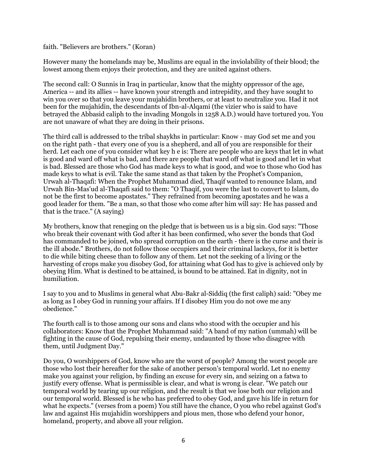faith. "Believers are brothers." (Koran)

However many the homelands may be, Muslims are equal in the inviolability of their blood; the lowest among them enjoys their protection, and they are united against others.

The second call: O Sunnis in Iraq in particular, know that the mighty oppressor of the age, America -- and its allies -- have known your strength and intrepidity, and they have sought to win you over so that you leave your mujahidin brothers, or at least to neutralize you. Had it not been for the mujahidin, the descendants of Ibn-al-Alqami (the vizier who is said to have betrayed the Abbasid caliph to the invading Mongols in 1258 A.D.) would have tortured you. You are not unaware of what they are doing in their prisons.

The third call is addressed to the tribal shaykhs in particular: Know - may God set me and you on the right path - that every one of you is a shepherd, and all of you are responsible for their herd. Let each one of you consider what key h e is: There are people who are keys that let in what is good and ward off what is bad, and there are people that ward off what is good and let in what is bad. Blessed are those who God has made keys to what is good, and woe to those who God has made keys to what is evil. Take the same stand as that taken by the Prophet's Companion, Urwah al-Thaqafi: When the Prophet Muhammad died, Thaqif wanted to renounce Islam, and Urwah Bin-Mas'ud al-Thaqafi said to them: "O Thaqif, you were the last to convert to Islam, do not be the first to become apostates." They refrained from becoming apostates and he was a good leader for them. "Be a man, so that those who come after him will say: He has passed and that is the trace." (A saying)

My brothers, know that reneging on the pledge that is between us is a big sin. God says: "Those who break their covenant with God after it has been confirmed, who sever the bonds that God has commanded to be joined, who spread corruption on the earth - there is the curse and their is the ill abode." Brothers, do not follow those occupiers and their criminal lackeys, for it is better to die while biting cheese than to follow any of them. Let not the seeking of a living or the harvesting of crops make you disobey God, for attaining what God has to give is achieved only by obeying Him. What is destined to be attained, is bound to be attained. Eat in dignity, not in humiliation.

I say to you and to Muslims in general what Abu-Bakr al-Siddiq (the first caliph) said: "Obey me as long as I obey God in running your affairs. If I disobey Him you do not owe me any obedience."

The fourth call is to those among our sons and clans who stood with the occupier and his collaborators: Know that the Prophet Muhammad said: "A band of my nation (ummah) will be fighting in the cause of God, repulsing their enemy, undaunted by those who disagree with them, until Judgment Day."

Do you, O worshippers of God, know who are the worst of people? Among the worst people are those who lost their hereafter for the sake of another person's temporal world. Let no enemy make you against your religion, by finding an excuse for every sin, and seizing on a fatwa to justify every offense. What is permissible is clear, and what is wrong is clear. "We patch our temporal world by tearing up our religion, and the result is that we lose both our religion and our temporal world. Blessed is he who has preferred to obey God, and gave his life in return for what he expects." (verses from a poem) You still have the chance, O you who rebel against God's law and against His mujahidin worshippers and pious men, those who defend your honor, homeland, property, and above all your religion.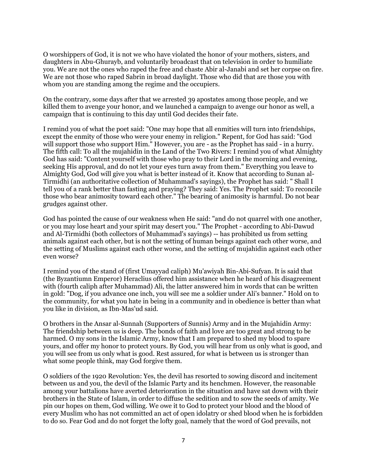O worshippers of God, it is not we who have violated the honor of your mothers, sisters, and daughters in Abu-Ghurayb, and voluntarily broadcast that on television in order to humiliate you. We are not the ones who raped the free and chaste Abir al-Janabi and set her corpse on fire. We are not those who raped Sabrin in broad daylight. Those who did that are those you with whom you are standing among the regime and the occupiers.

On the contrary, some days after that we arrested 39 apostates among those people, and we killed them to avenge your honor, and we launched a campaign to avenge our honor as well, a campaign that is continuing to this day until God decides their fate.

I remind you of what the poet said: "One may hope that all enmities will turn into friendships, except the enmity of those who were your enemy in religion." Repent, for God has said: "God will support those who support Him." However, you are - as the Prophet has said - in a hurry. The fifth call: To all the mujahidin in the Land of the Two Rivers: I remind you of what Almighty God has said: "Content yourself with those who pray to their Lord in the morning and evening, seeking His approval, and do not let your eyes turn away from them." Everything you leave to Almighty God, God will give you what is better instead of it. Know that according to Sunan al-Tirmidhi (an authoritative collection of Muhammad's sayings), the Prophet has said: " Shall I tell you of a rank better than fasting and praying? They said: Yes. The Prophet said: To reconcile those who bear animosity toward each other." The bearing of animosity is harmful. Do not bear grudges against other.

God has pointed the cause of our weakness when He said: "and do not quarrel with one another, or you may lose heart and your spirit may desert you." The Prophet - according to Abi-Dawud and Al-Tirmidhi (both collectors of Muhammad's sayings) -- has prohibited us from setting animals against each other, but is not the setting of human beings against each other worse, and the setting of Muslims against each other worse, and the setting of mujahidin against each other even worse?

I remind you of the stand of (first Umayyad caliph) Mu'awiyah Bin-Abi-Sufyan. It is said that (the Byzantiumn Emperor) Heraclius offered him assistance when he heard of his disagreement with (fourth caliph after Muhammad) Ali, the latter answered him in words that can be written in gold: "Dog, if you advance one inch, you will see me a soldier under Ali's banner." Hold on to the community, for what you hate in being in a community and in obedience is better than what you like in division, as Ibn-Mas'ud said.

O brothers in the Ansar al-Sunnah (Supporters of Sunnis) Army and in the Mujahidin Army: The friendship between us is deep. The bonds of faith and love are too great and strong to be harmed. O my sons in the Islamic Army, know that I am prepared to shed my blood to spare yours, and offer my honor to protect yours. By God, you will hear from us only what is good, and you will see from us only what is good. Rest assured, for what is between us is stronger than what some people think, may God forgive them.

O soldiers of the 1920 Revolution: Yes, the devil has resorted to sowing discord and incitement between us and you, the devil of the Islamic Party and its henchmen. However, the reasonable among your battalions have averted deterioration in the situation and have sat down with their brothers in the State of Islam, in order to diffuse the sedition and to sow the seeds of amity. We pin our hopes on them, God willing. We owe it to God to protect your blood and the blood of every Muslim who has not committed an act of open idolatry or shed blood when he is forbidden to do so. Fear God and do not forget the lofty goal, namely that the word of God prevails, not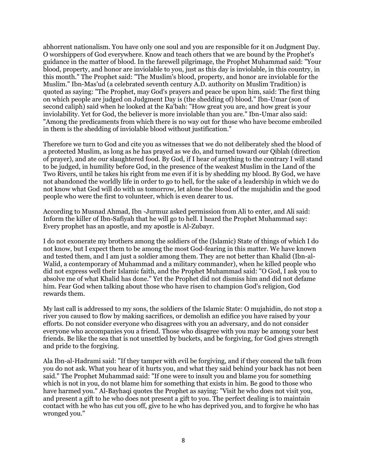abhorrent nationalism. You have only one soul and you are responsible for it on Judgment Day. O worshippers of God everywhere. Know and teach others that we are bound by the Prophet's guidance in the matter of blood. In the farewell pilgrimage, the Prophet Muhammad said: "Your blood, property, and honor are inviolable to you, just as this day is inviolable, in this country, in this month." The Prophet said: "The Muslim's blood, property, and honor are inviolable for the Muslim." Ibn-Mas'ud (a celebrated seventh century A.D. authority on Muslim Tradition) is quoted as saying: "The Prophet, may God's prayers and peace be upon him, said: The first thing on which people are judged on Judgment Day is (the shedding of) blood." Ibn-Umar (son of second caliph) said when he looked at the Ka'bah: "How great you are, and how great is your inviolability. Yet for God, the believer is more inviolable than you are." Ibn-Umar also said: "Among the predicaments from which there is no way out for those who have become embroiled in them is the shedding of inviolable blood without justification."

Therefore we turn to God and cite you as witnesses that we do not deliberately shed the blood of a protected Muslim, as long as he has prayed as we do, and turned toward our Qiblah (direction of prayer), and ate our slaughtered food. By God, if I hear of anything to the contrary I will stand to be judged, in humility before God, in the presence of the weakest Muslim in the Land of the Two Rivers, until he takes his right from me even if it is by shedding my blood. By God, we have not abandoned the worldly life in order to go to hell, for the sake of a leadership in which we do not know what God will do with us tomorrow, let alone the blood of the mujahidin and the good people who were the first to volunteer, which is even dearer to us.

According to Musnad Ahmad, Ibn -Jurmuz asked permission from Ali to enter, and Ali said: Inform the killer of Ibn-Safiyah that he will go to hell. I heard the Prophet Muhammad say: Every prophet has an apostle, and my apostle is Al-Zubayr.

I do not exonerate my brothers among the soldiers of the (Islamic) State of things of which I do not know, but I expect them to be among the most God-fearing in this matter. We have known and tested them, and I am just a soldier among them. They are not better than Khalid (Ibn-al-Walid, a contemporary of Muhammad and a military commander), when he killed people who did not express well their Islamic faith, and the Prophet Muhammad said: "O God, I ask you to absolve me of what Khalid has done." Yet the Prophet did not dismiss him and did not defame him. Fear God when talking about those who have risen to champion God's religion, God rewards them.

My last call is addressed to my sons, the soldiers of the Islamic State: O mujahidin, do not stop a river you caused to flow by making sacrifices, or demolish an edifice you have raised by your efforts. Do not consider everyone who disagrees with you an adversary, and do not consider everyone who accompanies you a friend. Those who disagree with you may be among your best friends. Be like the sea that is not unsettled by buckets, and be forgiving, for God gives strength and pride to the forgiving.

Ala Ibn-al-Hadrami said: "If they tamper with evil be forgiving, and if they conceal the talk from you do not ask. What you hear of it hurts you, and what they said behind your back has not been said." The Prophet Muhammad said: "If one were to insult you and blame you for something which is not in you, do not blame him for something that exists in him. Be good to those who have harmed you." Al-Bayhaqi quotes the Prophet as saying: "Visit he who does not visit you, and present a gift to he who does not present a gift to you. The perfect dealing is to maintain contact with he who has cut you off, give to he who has deprived you, and to forgive he who has wronged you."